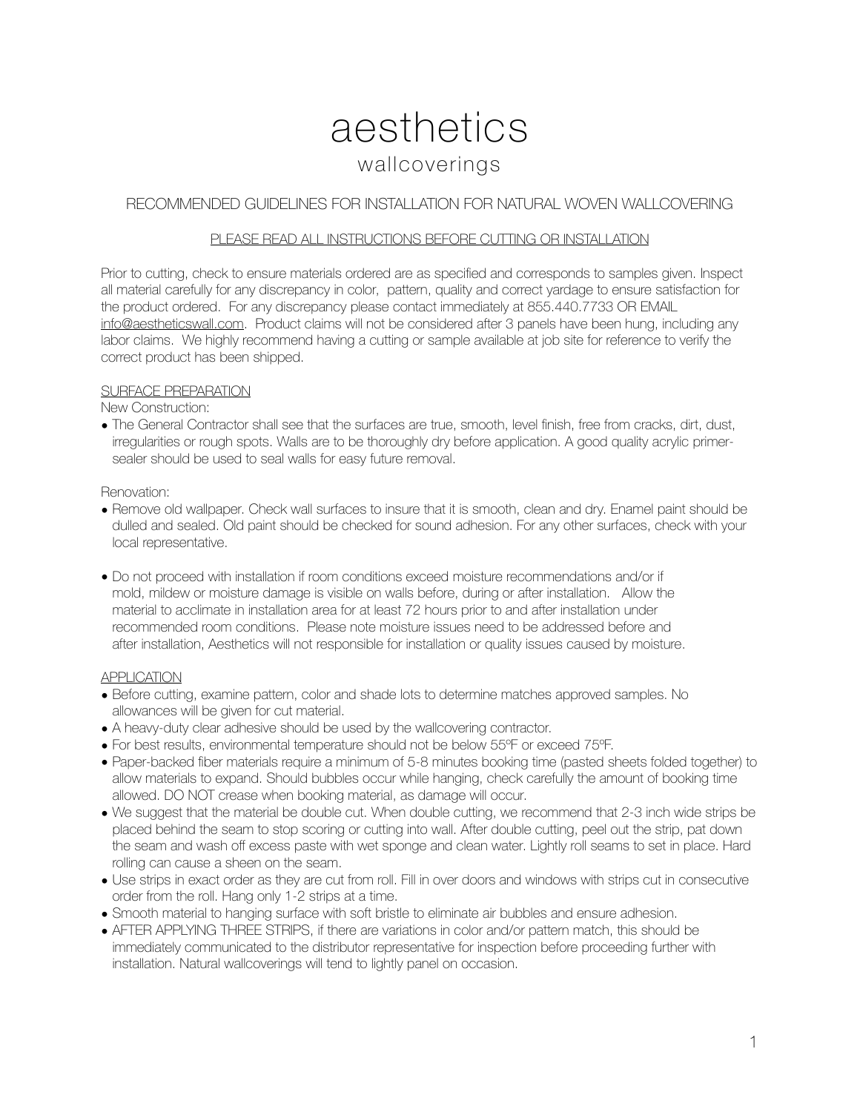# aesthetics wallcoverings

## RECOMMENDED GUIDELINES FOR INSTALLATION FOR NATURAL WOVEN WALLCOVERING

#### PLEASE READ ALL INSTRUCTIONS BEFORE CUTTING OR INSTALLATION

Prior to cutting, check to ensure materials ordered are as specified and corresponds to samples given. Inspect all material carefully for any discrepancy in color, pattern, quality and correct yardage to ensure satisfaction for the product ordered. For any discrepancy please contact immediately at 855.440.7733 OR EMAIL [info@aestheticswall.com.](mailto:info@aestheticswall.com) Product claims will not be considered after 3 panels have been hung, including any labor claims. We highly recommend having a cutting or sample available at job site for reference to verify the correct product has been shipped.

#### SURFACE PREPARATION

New Construction:

• The General Contractor shall see that the surfaces are true, smooth, level finish, free from cracks, dirt, dust, irregularities or rough spots. Walls are to be thoroughly dry before application. A good quality acrylic primersealer should be used to seal walls for easy future removal.

#### Renovation:

- Remove old wallpaper. Check wall surfaces to insure that it is smooth, clean and dry. Enamel paint should be dulled and sealed. Old paint should be checked for sound adhesion. For any other surfaces, check with your local representative.
- Do not proceed with installation if room conditions exceed moisture recommendations and/or if mold, mildew or moisture damage is visible on walls before, during or after installation. Allow the material to acclimate in installation area for at least 72 hours prior to and after installation under recommended room conditions. Please note moisture issues need to be addressed before and after installation, Aesthetics will not responsible for installation or quality issues caused by moisture.

#### **APPLICATION**

- Before cutting, examine pattern, color and shade lots to determine matches approved samples. No allowances will be given for cut material.
- A heavy-duty clear adhesive should be used by the wallcovering contractor.
- For best results, environmental temperature should not be below 55ºF or exceed 75ºF.
- Paper-backed fiber materials require a minimum of 5-8 minutes booking time (pasted sheets folded together) to allow materials to expand. Should bubbles occur while hanging, check carefully the amount of booking time allowed. DO NOT crease when booking material, as damage will occur.
- We suggest that the material be double cut. When double cutting, we recommend that 2-3 inch wide strips be placed behind the seam to stop scoring or cutting into wall. After double cutting, peel out the strip, pat down the seam and wash off excess paste with wet sponge and clean water. Lightly roll seams to set in place. Hard rolling can cause a sheen on the seam.
- Use strips in exact order as they are cut from roll. Fill in over doors and windows with strips cut in consecutive order from the roll. Hang only 1-2 strips at a time.
- Smooth material to hanging surface with soft bristle to eliminate air bubbles and ensure adhesion.
- AFTER APPLYING THREE STRIPS, if there are variations in color and/or pattern match, this should be immediately communicated to the distributor representative for inspection before proceeding further with installation. Natural wallcoverings will tend to lightly panel on occasion.